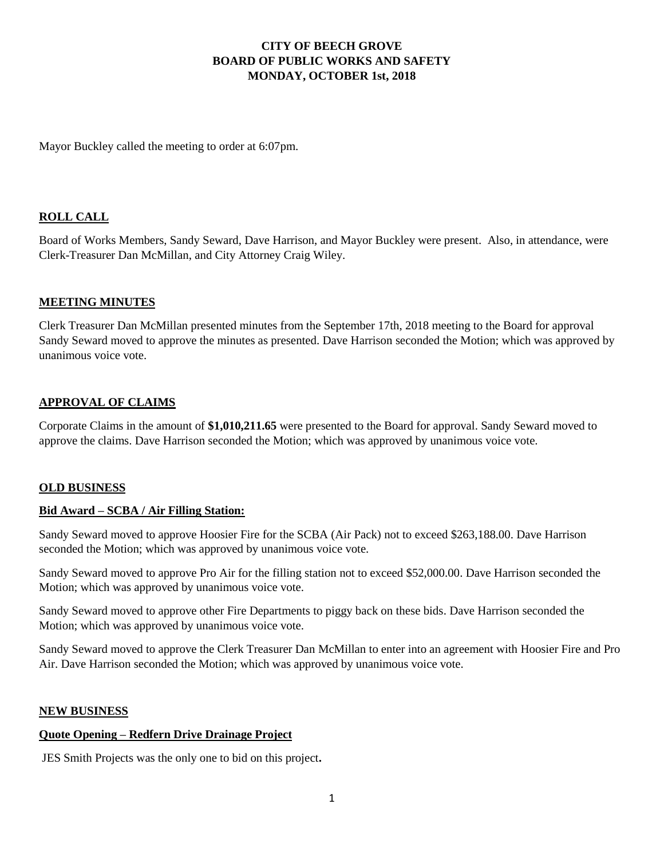# **CITY OF BEECH GROVE BOARD OF PUBLIC WORKS AND SAFETY MONDAY, OCTOBER 1st, 2018**

Mayor Buckley called the meeting to order at 6:07pm.

# **ROLL CALL**

Board of Works Members, Sandy Seward, Dave Harrison, and Mayor Buckley were present. Also, in attendance, were Clerk-Treasurer Dan McMillan, and City Attorney Craig Wiley.

## **MEETING MINUTES**

Clerk Treasurer Dan McMillan presented minutes from the September 17th, 2018 meeting to the Board for approval Sandy Seward moved to approve the minutes as presented. Dave Harrison seconded the Motion; which was approved by unanimous voice vote.

## **APPROVAL OF CLAIMS**

Corporate Claims in the amount of **\$1,010,211.65** were presented to the Board for approval. Sandy Seward moved to approve the claims. Dave Harrison seconded the Motion; which was approved by unanimous voice vote.

#### **OLD BUSINESS**

#### **Bid Award – SCBA / Air Filling Station:**

Sandy Seward moved to approve Hoosier Fire for the SCBA (Air Pack) not to exceed \$263,188.00. Dave Harrison seconded the Motion; which was approved by unanimous voice vote.

Sandy Seward moved to approve Pro Air for the filling station not to exceed \$52,000.00. Dave Harrison seconded the Motion; which was approved by unanimous voice vote.

Sandy Seward moved to approve other Fire Departments to piggy back on these bids. Dave Harrison seconded the Motion; which was approved by unanimous voice vote.

Sandy Seward moved to approve the Clerk Treasurer Dan McMillan to enter into an agreement with Hoosier Fire and Pro Air. Dave Harrison seconded the Motion; which was approved by unanimous voice vote.

#### **NEW BUSINESS**

#### **Quote Opening – Redfern Drive Drainage Project**

JES Smith Projects was the only one to bid on this project**.**